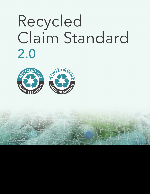

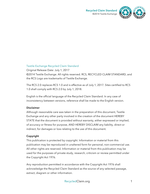

### Textile Exchange Recycled Claim Standard

Original Release Date: July 1, 2017 ©2014 Textile Exchange. All rights reserved. RCS, RECYCLED CLAIM STANDARD, and the RCS Logo are trademarks of Textile Exchange.

The RCS 2.0 replaces RCS 1.0 and is effective as of July 1, 2017. Sites certified to RCS 1.0 shall comply with RCS 2.0 by July 1, 2018.

English is the official language of the Recycled Claim Standard. In any case of inconsistency between versions, reference shall be made to the English version.

#### **Disclaimer**

Although reasonable care was taken in the preparation of this document, Textile Exchange and any other party involved in the creation of the document HEREBY STATE that the document is provided without warranty, either expressed or implied, of accuracy or fitness for purpose, AND HEREBY DISCLAIM any liability, direct or indirect, for damages or loss relating to the use of this document.

### **Copyright**

This publication is protected by copyright. Information or material from this publication may be reproduced in unaltered form for personal, non-commercial use. All other rights are reserved. Information or material from this publication may be used for the purposes of private study, research, criticism or review permitted under the Copyright Act 1976.

Any reproduction permitted in accordance with the Copyright Act 1976 shall acknowledge the Recycled Claim Standard as the source of any selected passage, extract, diagram or other information.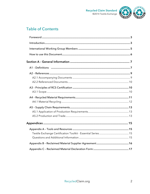



# **Table of Contents**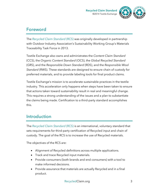



# Foreword

The *Recycled Claim Standard* (RCS) was originally developed in partnership with Outdoor Industry Association's Sustainability Working Group's Materials Traceability Task Force in 2013.

Textile Exchange also owns and administrates the *Content Claim Standard* (CCS), the *Organic Content Standard* (OCS), the *Global Recycled Standard* (GRS), and the *Responsible Down Standard* (RDS), and the *Responsible Wool Standard* (RWS). These standards are designed to ensure chain of custody for preferred materials, and to provide labeling tools for final product claims.

Textile Exchange's mission is to accelerate sustainable practices in the textile industry. This acceleration only happens when steps have been taken to ensure that actions taken toward sustainability result in real and meaningful change. This requires a strong understanding of the issues and a plan to substantiate the claims being made. Certification to a third-party standard accomplishes this.

# Introduction

The *Recycled Claim Standard* (RCS) is an international, voluntary standard that sets requirements for third-party certification of Recycled input and chain of custody. The goal of the RCS is to increase the use of Recycled materials.

The objectives of the RCS are:

- Alignment of Recycled definitions across multiple applications.
- Track and trace Recycled input materials.
- Provide consumers (both brands and end consumers) with a tool to make informed decisions.
- Provide assurance that materials are actually Recycled and in a final product.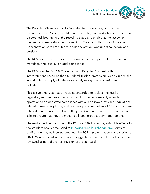

The Recycled Claim Standard is intended for use with any product that contains at least 5% Recycled Material. Each stage of production is required to be certified, beginning at the recycling stage and ending at the last seller in the final business-to-business transaction. Material Collection and Material Concentration sites are subject to self-declaration, document collection, and on-site visits.

The RCS does not address social or environmental aspects of processing and manufacturing, quality, or legal compliance.

The RCS uses the ISO 14021 definition of Recycled Content, with interpretations based on the US Federal Trade Commission Green Guides; the intention is to comply with the most widely recognized and stringent definitions.

This is a voluntary standard that is not intended to replace the legal or regulatory requirements of any country. It is the responsibility of each operation to demonstrate compliance with all applicable laws and regulations related to marketing, labor, and business practices. Sellers of RCS products are advised to reference the allowed Recycled Content claims in the countries of sale, to ensure that they are meeting all legal product claim requirements.

The next scheduled revision of the RCS is in 2021. You may submit feedback to the standard at any time; send to Integrity@TextileExchange.org. Points of clarification may be incorporated into the RCS Implementation Manual prior to 2021. More substantive feedback or suggested changes will be collected and reviewed as part of the next revision of the standard.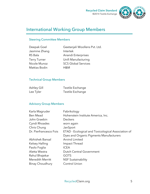

# International Working Group Members

# Steering Committee Members

| Deepak Goel         |
|---------------------|
| Jasmine Zhang       |
| <b>RS</b> Bala      |
| <b>Terry Turner</b> |
| Nicole Munoz        |
| Mattias Bodin       |

Geetanjali Woollens Pvt. Ltd. **Intertek** Anandi Enterprises Unifi Manufacturing **SCS Global Services** H&M

### Technical Group Members

| Ashley Gill | Textile Exchange |
|-------------|------------------|
| Lee Tyler   | Textile Exchange |

### Advisory Group Members

| Karla Magruder         | Fabrikology                                        |  |  |
|------------------------|----------------------------------------------------|--|--|
| <b>Ben Mead</b>        | Hohenstein Institute America, Inc.                 |  |  |
| John Graebin           | <b>Deckers</b>                                     |  |  |
| Cyndi Rhoades          | worn again                                         |  |  |
| Chris Chung            | JanSport                                           |  |  |
| Dr. Pierfrancesco Fois | ETAD - Ecological and Toxicological Association of |  |  |
|                        | Dyes and Organic Pigments Manufacturers            |  |  |
| Abhishek Bansal        | Arvind Limited                                     |  |  |
| Kelsey Halling         | Impact Thread                                      |  |  |
| Paolo Foglia           | <b>ICEA</b>                                        |  |  |
| Aletta Westra          | <b>Dutch Central Government</b>                    |  |  |
| Rahul Bhajekar         | <b>GOTS</b>                                        |  |  |
| Meredith Merritt       | <b>NSF Sustainability</b>                          |  |  |
| Binay Choudhury        | <b>Control Union</b>                               |  |  |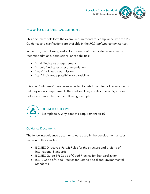



# How to use this Document

This document sets forth the overall requirements for compliance with the RCS. Guidance and clarifications are available in the *RCS Implementation Manual*.

In the RCS, the following verbal forms are used to indicate requirements, recommendations, permissions, or capabilities:

- "shall" indicates a requirement
- "should" indicates a recommendation
- "may" indicates a permission
- "can" indicates a possibility or capability

"Desired Outcomes" have been included to detail the intent of requirements, but they are not requirements themselves. They are designated by an icon before each module, see the following example:



### DESIRED OUTCOME*:*

Example text. Why does this requirement exist?

### Guidance Documents

The following guidance documents were used in the development and/or revision of this standard:

- ISO/IEC Directives, Part 2: Rules for the structure and drafting of International Standards
- ISO/IEC Guide 59: Code of Good Practice for Standardization
- ISEAL Code of Good Practice for Setting Social and Environmental Standards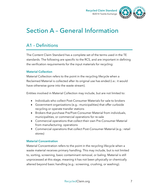

# Section A – General Information

# A1 – Definitions

The Content Claim Standard has a complete set of the terms used in the TE standards. The following are specific to the RCS, and are important in defining the verification requirements for the input materials for recycling:

# **Material Collection**

Material Collection refers to the point in the recycling lifecycle when a Reclaimed Material is collected after its original use has ended (i.e.: it would have otherwise gone into the waste stream).

Entities involved in Material Collection may include, but are not limited to:

- Individuals who collect Post-Consumer Materials for sale to brokers
- Government organizations (e.g.: municipalities) that offer curbside recycling or operate transfer stations
- Brokers that purchase Pre/Post-Consumer Material from individuals, municipalities, or commercial operations for re-sale
- Commercial operations that collect their own Pre-Consumer Material from manufacturing operations
- Commercial operations that collect Post-Consumer Material (e.g.: retail stores)

# **Material Concentration**

Material Concentration refers to the point in the recycling lifecycle when a waste material receives primary handling. This may include, but is not limited to, sorting, screening, basic contaminant removal, or baling. Material is still unprocessed at this stage, meaning it has not been physically or chemically altered beyond basic handling (e.g.: screening, crushing, or washing).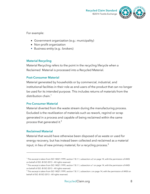

For example:

- Government organization (e.g.: municipality)
- Non-profit organization
- Business entity (e.g.: brokers)

# **Material Recycling**

Material Recycling refers to the point in the recycling lifecycle when a Reclaimed Material is processed into a Recycled Material.

# **Post-Consumer Material**

Material generated by households or by commercial, industrial, and institutional facilities in their role as end-users of the product that can no longer be used for its intended purpose. This includes returns of materials from the distribution chain.<sup>1</sup>

# **Pre-Consumer Material**

Material diverted from the waste stream during the manufacturing process. Excluded is the reutilization of materials such as rework, regrind or scrap generated in a process and capable of being reclaimed within the same process that generated it.<sup>2</sup>

# **Reclaimed Material**

 $\overline{a}$ 

Material that would have otherwise been disposed of as waste or used for energy recovery, but has instead been collected and reclaimed as a material input, in lieu of new primary material, for a recycling process. $^3$ 

<sup>1</sup> This excerpt is taken from ISO 14021:1999, section 7.8.1.1, subsection a.2 on page 14, with the permission of ANSI on behalf of ISO. © ISO 2013 – All rights reserved.

 $^2$  This excerpt is taken from ISO 14021:1999, section 7.8.1.1, subsection a.1 on page 14, with the permission of ANSI on behalf of ISO. © ISO 2013 – All rights reserved.

 $3$  This excerpt is taken from ISO 14021:1999, section 7.8.1.1, subsection c on page 14, with the permission of ANSI on behalf of ISO. © ISO 2013 – All rights reserved.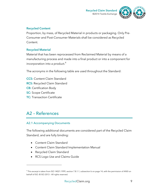



### **Recycled Content**

Proportion, by mass, of Recycled Material in products or packaging. Only Pre-Consumer and Post-Consumer Materials shall be considered as Recycled Content.

# **Recycled Material**

Material that has been reprocessed from Reclaimed Material by means of a manufacturing process and made into a final product or into a component for incorporation into a product. $4$ 

The acronyms in the following table are used throughout the Standard:

- **CCS:** Content Claim Standard
- **RCS:** Recycled Claim Standard
- **CB:** Certification Body
- **SC:** Scope Certificate
- **TC:** Transaction Certificate

# A2 – References

# A2.1 Accompanying Documents

The following additional documents are considered part of the Recycled Claim Standard, and are fully binding:

- Content Claim Standard
- Content Claim Standard Implementation Manual
- Recycled Claim Standard

 $\overline{a}$ 

• RCS Logo Use and Claims Guide

<sup>4</sup> This excerpt is taken from ISO 14021:1999, section 7.8.1.1, subsection b on page 14, with the permission of ANSI on behalf of ISO. © ISO 2013 – All rights reserved.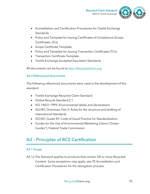

- Accreditation and Certification Procedures for Textile Exchange **Standards**
- Policy and Template for Issuing Certificates of Compliance (Scope Certificates, SCs)
- Scope Certificate Template
- Policy and Template for Issuing Transaction Certificates (TCs)
- Transaction Certificate Template
- Textile Exchange Accepted Equivalent Standards

All documents can be found at http://Recycledclaim.org.

# A2.2 Referenced Documents

The following referenced documents were used in the development of this standard:

- Textile Exchange Recycled Claim Standard
- Global Recycle Standard 2.1
- ISO 14021:1999: Environmental labels and declarations
- ISO/IEC Directives, Part 2: Rules for the structure and drafting of International Standards
- ISO/IEC Guide 59: Code of Good Practice for Standardization
- Guides for the Use of Environmental Marketing Claims ("Green Guides"); Federal Trade Commission

# A3 – Principles of RCS Certification

# A3.1 Scope

A3.1a The Standard applies to products that contain 5% or more Recycled Content. Some exceptions may apply, see *TE Accreditation and Certification Procedures* for the derogation process.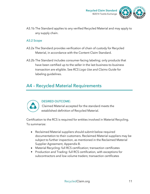

A3.1b The Standard applies to any verified Recycled Material and may apply to any supply chain.

### A3.2 Scope

- A3.2a The Standard provides verification of chain of custody for Recycled Material, in accordance with the Content Claim Standard.
- A3.2b The Standard includes consumer-facing labeling; only products that have been certified up to the seller in the last business-to-business transaction are eligible. See *RCS Logo Use and Claims Guide* for labeling guidelines.

# A4 – Recycled Material Requirements



### DESIRED OUTCOME:

Claimed Material accepted for the standard meets the established definition of Recycled Material.

Certification to the RCS is required for entities involved in Material Recycling. To summarize:

- Reclaimed Material suppliers should submit below required documentation to their customers. Reclaimed Material suppliers may be subject to further inspection, as mentioned in the Reclaimed Material Supplier Agreement, Appendix B.
- Material Recycling: full RCS certification; transaction certificates
- Production and Trading: full RCS certification, with exceptions for subcontractors and low volume traders; transaction certificates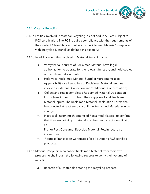

# A4.1 Material Recycling

- A4.1a Entities involved in Material Recycling (as defined in A1) are subject to RCS certification. The RCS requires compliance with the requirements of the Content Claim Standard, whereby the 'Claimed Material' is replaced with 'Recycled Material' as defined in section A1.
- A4.1b In addition, entities involved in Material Recycling shall:
	- i. Verify that all sources of Reclaimed Material have legal authorization to operate for the relevant function, and hold copies of the relevant documents.
	- ii. Hold valid Reclaimed Material Supplier Agreements (see Appendix B) for all suppliers of Reclaimed Material (entities involved in Material Collection and/or Material Concentration).
	- iii. Collect and retain completed Reclaimed Material Declaration Forms (see Appendix C) from their suppliers for all Reclaimed Material inputs. The Reclaimed Material Declaration Forms shall be collected at least annually or if the Reclaimed Material source changes.
	- iv. Inspect all incoming shipments of Reclaimed Material to confirm that they are not virgin material; confirm the correct identification as

Pre- or Post-Consumer Recycled Material. Retain records of inspections.

- v. Request Transaction Certificates for all outgoing RCS certified products.
- A4.1c Material Recyclers who collect Reclaimed Material from their own processing shall retain the following records to verify their volume of recycling:
	- vi. Records of all materials entering the recycling process.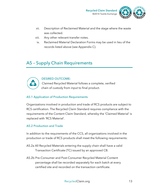

- vii. Description of Reclaimed Material and the stage where the waste was collected.
- viii. Any other relevant transfer notes.
- ix. Reclaimed Material Declaration Forms may be used in lieu of the records listed above (see Appendix C).

# A5 – Supply Chain Requirements



### DESIRED OUTCOME:

Claimed Recycled Material follows a complete, verified chain of custody from input to final product.

# A5.1 Application of Production Requirements

Organizations involved in production and trade of RCS products are subject to RCS certification. The Recycled Claim Standard requires compliance with the requirements of the Content Claim Standard, whereby the 'Claimed Material' is replaced with 'RCS Material'.

# A5.2 Production and Trade

In addition to the requirements of the CCS, all organizations involved in the production or trade of RCS products shall meet the following requirements:

- A5.2a All Recycled Materials entering the supply chain shall have a valid Transaction Certificate (TC) issued by an approved CB.
- A5.2b Pre-Consumer and Post-Consumer Recycled Material Content percentage shall be recorded separately for each batch at every certified site and recorded on the transaction certificate.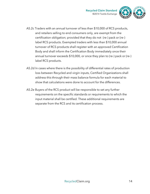

- A5.2c Traders with an annual turnover of less than \$10,000 of RCS products, and retailers selling to end consumers only, are exempt from the certification obligation; provided that they do not (re-) pack or (re-) label RCS products. Exempted traders with less than \$10,000 annual turnover of RCS products shall register with an approved Certification Body and shall inform the Certification Body immediately once their annual turnover exceeds \$10,000, or once they plan to (re-) pack or (re-) label RCS products.
- A5.2d In cases where there is the possibility of differential rates of production loss between Recycled and virgin inputs, Certified Organizations shall address this through their mass balance formula for each material to show that calculations were done to account for the differences.
- A5.2e Buyers of the RCS product will be responsible to set any further requirements on the specific standards or requirements to which the input material shall be certified. These additional requirements are separate from the RCS and its certification process.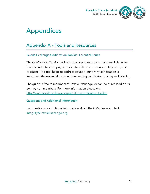



# Appendices

# Appendix A – Tools and Resources

# Textile Exchange Certification Toolkit - Essential Series

The *Certification Toolkit* has been developed to provide increased clarity for brands and retailers trying to understand how to most accurately certify their products. This tool helps to address issues around why certification is important, the essential steps, understanding certificates, pricing and labeling.

The guide is free to members of Textile Exchange, or can be purchased on its own by non-members. For more information please visit http://www.textileexchange.org/content/certification-toolkit.

# Questions and Additional Information

For questions or additional information about the GRS please contact: Integrity@TextileExchange.org.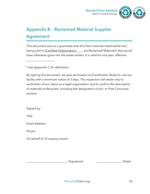



# Appendix B – Reclaimed Material Supplier Agreement

This document acts as a guarantee that all of the materials listed below and being sold to [*Certified Organization]* \_\_\_\_ are Reclaimed Materials\* that would have otherwise gone into the waste stream. It is valid for one year, effective

*\* see Appendix C for definitions* 

\_\_\_\_\_\_\_\_\_\_\_\_\_\_\_\_\_\_\_.

By signing this document, we give permission to *[Certification Body]* to visit our facility with a minimum notice of 3 days. The inspection will relate only to verification of our status as a legal organization and to confirm the description of materials as Recycled, including the designation of pre- or Post-Consumer streams.

Signed by:

Title:

Email Address:

Phone:

On behalf of: (*Company name*)

 $(Signature)$   $\qquad \qquad \qquad _{\qquad \qquad 2}$  (Date)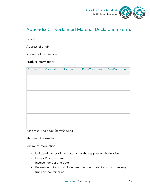

# Appendix C – Reclaimed Material Declaration Form:

Seller:

Address of origin:

Address of destination:

Product Information:

| Product* | Material | Source | Post-Consumer | <b>Pre-Consumer</b> |
|----------|----------|--------|---------------|---------------------|
|          |          |        |               |                     |
|          |          |        |               |                     |
|          |          |        |               |                     |
|          |          |        |               |                     |
|          |          |        |               |                     |
|          |          |        |               |                     |
|          |          |        |               |                     |

*\* see following page for definitions* 

Shipment information:

Minimum Information:

- Units and names of the materials as they appear on the invoice
- Pre- or Post-Consumer
- Invoice number and date
- Reference to transport document (number, date, transport company, truck no, container no)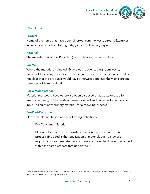



# \*Definitions

### **Product**

Name of the items that have been diverted from the waste stream. Examples include: plastic bottles, fishing nets, yarns, wool carpet, paper.

### **Material**

The material that will be Recycled (e.g.: polyester, nylon, wool etc.).

### **Source**

Where the material originated. Examples include: cutting room waste, household recycling collection, rejected yarn stock, office paper waste. If it is not clear that the products would have otherwise gone into the waste stream, please provide more detail.

# **Reclaimed Material**

Material that would have otherwise been disposed of as waste or used for energy recovery, but has instead been collected and reclaimed as a material input, in lieu of new primary material, for a recycling process.<sup>5</sup>

# **Pre/Post-Consumer**

 $\overline{a}$ 

Please check one, based on the following definitions:

# Pre-Consumer Material

Material diverted from the waste stream during the manufacturing process. Excluded is the reutilization of materials such as rework, regrind or scrap generated in a process and capable of being reclaimed within the same process that generated it.

<sup>5</sup> This excerpt is taken from ISO 14021:1999, section 7.8.1.1, subsection c on page 14, with the permission of ANSI on behalf of ISO. © ISO 2013 – All rights reserved.